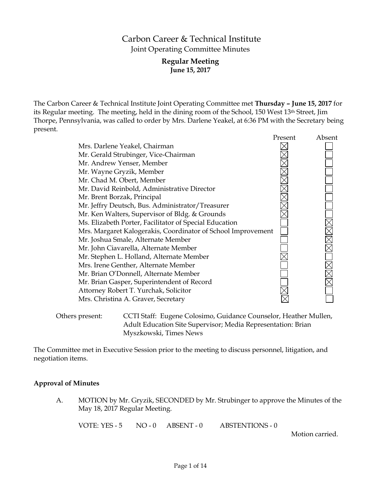# Carbon Career & Technical Institute Joint Operating Committee Minutes

# **Regular Meeting June 15, 2017**

The Carbon Career & Technical Institute Joint Operating Committee met **Thursday – June 15, 2017** for its Regular meeting. The meeting, held in the dining room of the School, 150 West 13th Street, Jim Thorpe, Pennsylvania, was called to order by Mrs. Darlene Yeakel, at 6:36 PM with the Secretary being present.

|                                                              | Present | Absent |
|--------------------------------------------------------------|---------|--------|
| Mrs. Darlene Yeakel, Chairman                                |         |        |
| Mr. Gerald Strubinger, Vice-Chairman                         |         |        |
| Mr. Andrew Yenser, Member                                    |         |        |
| Mr. Wayne Gryzik, Member                                     |         |        |
| Mr. Chad M. Obert, Member                                    |         |        |
| Mr. David Reinbold, Administrative Director                  |         |        |
| Mr. Brent Borzak, Principal                                  |         |        |
| Mr. Jeffry Deutsch, Bus. Administrator/Treasurer             |         |        |
| Mr. Ken Walters, Supervisor of Bldg. & Grounds               |         |        |
| Ms. Elizabeth Porter, Facilitator of Special Education       |         |        |
| Mrs. Margaret Kalogerakis, Coordinator of School Improvement |         |        |
| Mr. Joshua Smale, Alternate Member                           |         |        |
| Mr. John Ciavarella, Alternate Member                        |         |        |
| Mr. Stephen L. Holland, Alternate Member                     |         |        |
| Mrs. Irene Genther, Alternate Member                         |         |        |
| Mr. Brian O'Donnell, Alternate Member                        |         |        |
| Mr. Brian Gasper, Superintendent of Record                   |         |        |
| Attorney Robert T. Yurchak, Solicitor                        |         |        |
| Mrs. Christina A. Graver, Secretary                          |         |        |
|                                                              |         |        |
|                                                              |         |        |

Others present: CCTI Staff: Eugene Colosimo, Guidance Counselor, Heather Mullen, Adult Education Site Supervisor; Media Representation: Brian Myszkowski, Times News

The Committee met in Executive Session prior to the meeting to discuss personnel, litigation, and negotiation items.

### **Approval of Minutes**

A. MOTION by Mr. Gryzik, SECONDED by Mr. Strubinger to approve the Minutes of the May 18, 2017 Regular Meeting.

VOTE: YES - 5 NO - 0 ABSENT - 0 ABSTENTIONS - 0

Motion carried.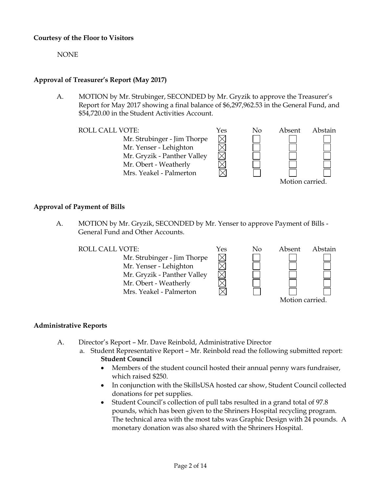### **Courtesy of the Floor to Visitors**

NONE

# **Approval of Treasurer's Report (May 2017)**

A. MOTION by Mr. Strubinger, SECONDED by Mr. Gryzik to approve the Treasurer's Report for May 2017 showing a final balance of \$6,297,962.53 in the General Fund, and \$54,720.00 in the Student Activities Account.

 $\times$ 

Mr. Strubinger - Jim Thorpe Mr. Yenser - Lehighton Mr. Gryzik - Panther Valley Mr. Obert - Weatherly Mrs. Yeakel - Palmerton



# **Approval of Payment of Bills**

A. MOTION by Mr. Gryzik, SECONDED by Mr. Yenser to approve Payment of Bills - General Fund and Other Accounts.





# **Administrative Reports**

- A. Director's Report Mr. Dave Reinbold, Administrative Director
	- a. Student Representative Report Mr. Reinbold read the following submitted report: **Student Council**
		- Members of the student council hosted their annual penny wars fundraiser, which raised \$250.
		- In conjunction with the SkillsUSA hosted car show, Student Council collected donations for pet supplies.
		- Student Council's collection of pull tabs resulted in a grand total of 97.8 pounds, which has been given to the Shriners Hospital recycling program. The technical area with the most tabs was Graphic Design with 24 pounds. A monetary donation was also shared with the Shriners Hospital.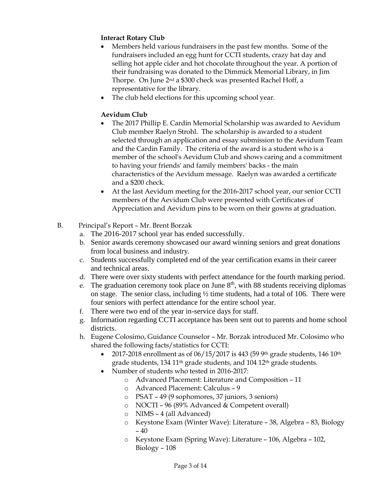# **Interact Rotary Club**

- Members held various fundraisers in the past few months. Some of the fundraisers included an egg hunt for CCTI students, crazy hat day and selling hot apple cider and hot chocolate throughout the year. A portion of their fundraising was donated to the Dimmick Memorial Library, in Jim Thorpe. On June 2nd a \$300 check was presented Rachel Hoff, a representative for the library.
- The club held elections for this upcoming school year.

# **Aevidum Club**

- The 2017 Phillip E. Cardin Memorial Scholarship was awarded to Aevidum Club member Raelyn Strohl. The scholarship is awarded to a student selected through an application and essay submission to the Aevidum Team and the Cardin Family. The criteria of the award is a student who is a member of the school's Aevidum Club and shows caring and a commitment to having your friends' and family members' backs - the main characteristics of the Aevidum message. Raelyn was awarded a certificate and a \$200 check.
- At the last Aevidum meeting for the 2016-2017 school year, our senior CCTI members of the Aevidum Club were presented with Certificates of Appreciation and Aevidum pins to be worn on their gowns at graduation.
- B. Principal's Report Mr. Brent Borzak
	- a. The 2016-2017 school year has ended successfully.
	- b. Senior awards ceremony showcased our award winning seniors and great donations from local business and industry.
	- c. Students successfully completed end of the year certification exams in their career and technical areas.
	- d. There were over sixty students with perfect attendance for the fourth marking period.
	- e. The graduation ceremony took place on June  $8<sup>th</sup>$ , with 88 students receiving diplomas on stage. The senior class, including ½ time students, had a total of 106. There were four seniors with perfect attendance for the entire school year.
	- f. There were two end of the year in-service days for staff.
	- g. Information regarding CCTI acceptance has been sent out to parents and home school districts.
	- h. Eugene Colosimo, Guidance Counselor Mr. Borzak introduced Mr. Colosimo who shared the following facts/statistics for CCTI:
		- 2017-2018 enrollment as of 06/15/2017 is 443 (59 9th grade students, 146 10th grade students, 134 11<sup>th</sup> grade students, and 104 12<sup>th</sup> grade students.
		- Number of students who tested in 2016-2017:
			- o Advanced Placement: Literature and Composition 11
			- o Advanced Placement: Calculus 9
			- o PSAT 49 (9 sophomores, 37 juniors, 3 seniors)
			- o NOCTI 96 (89% Advanced & Competent overall)
			- o NIMS 4 (all Advanced)
			- o Keystone Exam (Winter Wave): Literature 38, Algebra 83, Biology – 40
			- o Keystone Exam (Spring Wave): Literature 106, Algebra 102, Biology – 108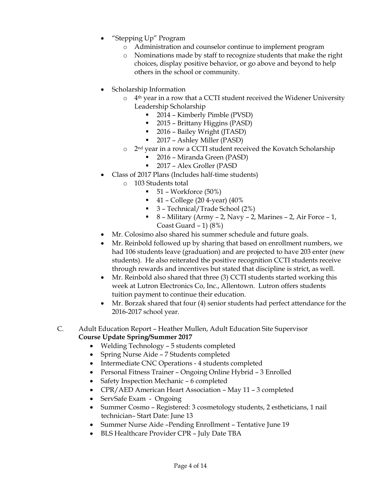- "Stepping Up" Program
	- o Administration and counselor continue to implement program
	- o Nominations made by staff to recognize students that make the right choices, display positive behavior, or go above and beyond to help others in the school or community.
- Scholarship Information
	- $\circ$  4<sup>th</sup> year in a row that a CCTI student received the Widener University Leadership Scholarship
		- 2014 Kimberly Pimble (PVSD)
		- 2015 Brittany Higgins (PASD)
		- 2016 Bailey Wright (JTASD)
		- 2017 Ashley Miller (PASD)
	- o 2nd year in a row a CCTI student received the Kovatch Scholarship
		- 2016 Miranda Green (PASD)
		- 2017 Alex Groller (PASD
- Class of 2017 Plans (Includes half-time students)
	- o 103 Students total
		- $\blacksquare$  51 Workforce (50%)
		- $-41$  College (20 4-year) (40%)
		- 3 Technical/Trade School (2%)
		- $\blacksquare$  8 Military (Army 2, Navy 2, Marines 2, Air Force 1, Coast Guard  $-1$ ) (8%)
- Mr. Colosimo also shared his summer schedule and future goals.
- Mr. Reinbold followed up by sharing that based on enrollment numbers, we had 106 students leave (graduation) and are projected to have 203 enter (new students). He also reiterated the positive recognition CCTI students receive through rewards and incentives but stated that discipline is strict, as well.
- Mr. Reinbold also shared that three (3) CCTI students started working this week at Lutron Electronics Co, Inc., Allentown. Lutron offers students tuition payment to continue their education.
- Mr. Borzak shared that four (4) senior students had perfect attendance for the 2016-2017 school year.
- C. Adult Education Report Heather Mullen, Adult Education Site Supervisor **Course Update Spring/Summer 2017**
	- Welding Technology 5 students completed
	- Spring Nurse Aide 7 Students completed
	- Intermediate CNC Operations 4 students completed
	- Personal Fitness Trainer Ongoing Online Hybrid 3 Enrolled
	- Safety Inspection Mechanic 6 completed
	- CPR/AED American Heart Association May 11 3 completed
	- ServSafe Exam Ongoing
	- Summer Cosmo Registered: 3 cosmetology students, 2 estheticians, 1 nail technician– Start Date: June 13
	- Summer Nurse Aide –Pending Enrollment Tentative June 19
	- BLS Healthcare Provider CPR July Date TBA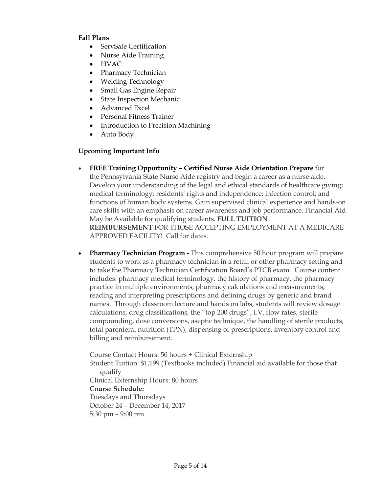### **Fall Plans**

- ServSafe Certification
- Nurse Aide Training
- HVAC
- Pharmacy Technician
- Welding Technology
- Small Gas Engine Repair
- State Inspection Mechanic
- Advanced Excel
- Personal Fitness Trainer
- Introduction to Precision Machining
- Auto Body

# **Upcoming Important Info**

- **FREE Training Opportunity – Certified Nurse Aide Orientation Prepare** for the Pennsylvania State Nurse Aide registry and begin a career as a nurse aide. Develop your understanding of the legal and ethical standards of healthcare giving; medical terminology; residents' rights and independence; infection control; and functions of human body systems. Gain supervised clinical experience and hands-on care skills with an emphasis on career awareness and job performance. Financial Aid May be Available for qualifying students. **FULL TUITION REIMBURSEMENT** FOR THOSE ACCEPTING EMPLOYMENT AT A MEDICARE APPROVED FACILITY! Call for dates.
- **Pharmacy Technician Program -** This comprehensive 50 hour program will prepare students to work as a pharmacy technician in a retail or other pharmacy setting and to take the Pharmacy Technician Certification Board's PTCB exam. Course content includes: pharmacy medical terminology, the history of pharmacy, the pharmacy practice in multiple environments, pharmacy calculations and measurements, reading and interpreting prescriptions and defining drugs by generic and brand names. Through classroom lecture and hands on labs, students will review dosage calculations, drug classifications, the "top 200 drugs", I.V. flow rates, sterile compounding, dose conversions, aseptic technique, the handling of sterile products, total parenteral nutrition (TPN), dispensing of prescriptions, inventory control and billing and reimbursement.

Course Contact Hours: 50 hours + Clinical Externship Student Tuition: \$1,199 (Textbooks included) Financial aid available for those that qualify Clinical Externship Hours: 80 hours **Course Schedule:** Tuesdays and Thursdays October 24 – December 14, 2017 5:30 pm – 9:00 pm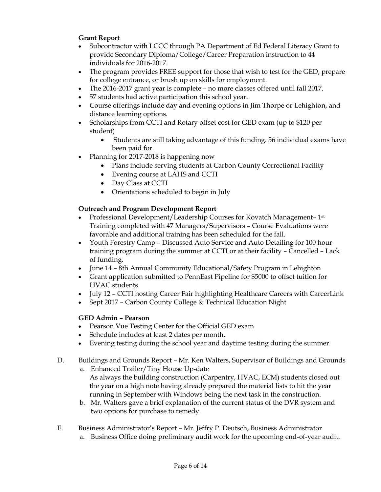# **Grant Report**

- Subcontractor with LCCC through PA Department of Ed Federal Literacy Grant to provide Secondary Diploma/College/Career Preparation instruction to 44 individuals for 2016-2017.
- The program provides FREE support for those that wish to test for the GED, prepare for college entrance, or brush up on skills for employment.
- The 2016-2017 grant year is complete no more classes offered until fall 2017.
- 57 students had active participation this school year.
- Course offerings include day and evening options in Jim Thorpe or Lehighton, and distance learning options.
- Scholarships from CCTI and Rotary offset cost for GED exam (up to \$120 per student)
	- Students are still taking advantage of this funding. 56 individual exams have been paid for.
- Planning for 2017-2018 is happening now
	- Plans include serving students at Carbon County Correctional Facility
	- Evening course at LAHS and CCTI
	- Day Class at CCTI
	- Orientations scheduled to begin in July

# **Outreach and Program Development Report**

- Professional Development/Leadership Courses for Kovatch Management-1<sup>st</sup> Training completed with 47 Managers/Supervisors – Course Evaluations were favorable and additional training has been scheduled for the fall.
- Youth Forestry Camp Discussed Auto Service and Auto Detailing for 100 hour training program during the summer at CCTI or at their facility – Cancelled – Lack of funding.
- June 14 8th Annual Community Educational/Safety Program in Lehighton
- Grant application submitted to PennEast Pipeline for \$5000 to offset tuition for HVAC students
- July 12 CCTI hosting Career Fair highlighting Healthcare Careers with CareerLink
- Sept 2017 Carbon County College & Technical Education Night

# **GED Admin – Pearson**

- Pearson Vue Testing Center for the Official GED exam
- Schedule includes at least 2 dates per month.
- Evening testing during the school year and daytime testing during the summer.
- D. Buildings and Grounds Report Mr. Ken Walters, Supervisor of Buildings and Grounds a. Enhanced Trailer/Tiny House Up-date
	- As always the building construction (Carpentry, HVAC, ECM) students closed out the year on a high note having already prepared the material lists to hit the year running in September with Windows being the next task in the construction.
	- b. Mr. Walters gave a brief explanation of the current status of the DVR system and two options for purchase to remedy.
- E. Business Administrator's Report Mr. Jeffry P. Deutsch, Business Administrator a. Business Office doing preliminary audit work for the upcoming end-of-year audit.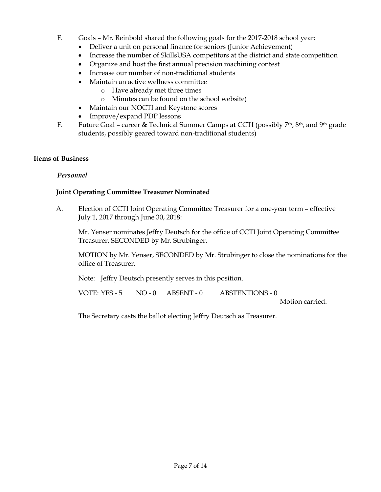- F. Goals Mr. Reinbold shared the following goals for the 2017-2018 school year:
	- Deliver a unit on personal finance for seniors (Junior Achievement)
	- Increase the number of SkillsUSA competitors at the district and state competition
	- Organize and host the first annual precision machining contest
	- Increase our number of non-traditional students
	- Maintain an active wellness committee
		- o Have already met three times
		- o Minutes can be found on the school website)
	- Maintain our NOCTI and Keystone scores
	- Improve/expand PDP lessons
- F. Future Goal career & Technical Summer Camps at CCTI (possibly 7<sup>th</sup>, 8<sup>th</sup>, and 9<sup>th</sup> grade students, possibly geared toward non-traditional students)

#### **Items of Business**

### *Personnel*

### **Joint Operating Committee Treasurer Nominated**

A. Election of CCTI Joint Operating Committee Treasurer for a one-year term – effective July 1, 2017 through June 30, 2018:

Mr. Yenser nominates Jeffry Deutsch for the office of CCTI Joint Operating Committee Treasurer, SECONDED by Mr. Strubinger.

MOTION by Mr. Yenser, SECONDED by Mr. Strubinger to close the nominations for the office of Treasurer.

Note: Jeffry Deutsch presently serves in this position.

VOTE: YES - 5 NO - 0 ABSENT - 0 ABSTENTIONS - 0

Motion carried.

The Secretary casts the ballot electing Jeffry Deutsch as Treasurer.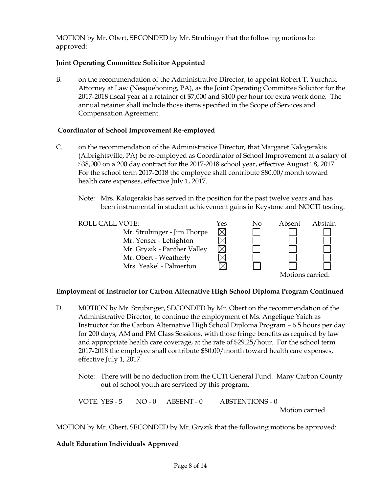MOTION by Mr. Obert, SECONDED by Mr. Strubinger that the following motions be approved:

# **Joint Operating Committee Solicitor Appointed**

B. on the recommendation of the Administrative Director, to appoint Robert T. Yurchak, Attorney at Law (Nesquehoning, PA), as the Joint Operating Committee Solicitor for the 2017-2018 fiscal year at a retainer of \$7,000 and \$100 per hour for extra work done. The annual retainer shall include those items specified in the Scope of Services and Compensation Agreement.

# **Coordinator of School Improvement Re-employed**

- C. on the recommendation of the Administrative Director, that Margaret Kalogerakis (Albrightsville, PA) be re-employed as Coordinator of School Improvement at a salary of \$38,000 on a 200 day contract for the 2017-2018 school year, effective August 18, 2017. For the school term 2017-2018 the employee shall contribute \$80.00/month toward health care expenses, effective July 1, 2017.
	- Note: Mrs. Kalogerakis has served in the position for the past twelve years and has been instrumental in student achievement gains in Keystone and NOCTI testing.

| <b>ROLL CALL VOTE:</b>      | Yes | No | Absent          | Abstain |
|-----------------------------|-----|----|-----------------|---------|
| Mr. Strubinger - Jim Thorpe |     |    |                 |         |
| Mr. Yenser - Lehighton      |     |    |                 |         |
| Mr. Gryzik - Panther Valley |     |    |                 |         |
| Mr. Obert - Weatherly       |     |    |                 |         |
| Mrs. Yeakel - Palmerton     |     |    |                 |         |
|                             |     |    | Motions carried |         |

### **Employment of Instructor for Carbon Alternative High School Diploma Program Continued**

- D. MOTION by Mr. Strubinger, SECONDED by Mr. Obert on the recommendation of the Administrative Director, to continue the employment of Ms. Angelique Yaich as Instructor for the Carbon Alternative High School Diploma Program – 6.5 hours per day for 200 days, AM and PM Class Sessions, with those fringe benefits as required by law and appropriate health care coverage, at the rate of \$29.25/hour. For the school term 2017-2018 the employee shall contribute \$80.00/month toward health care expenses, effective July 1, 2017.
	- Note: There will be no deduction from the CCTI General Fund. Many Carbon County out of school youth are serviced by this program.

VOTE: YES - 5 NO - 0 ABSENT - 0 ABSTENTIONS - 0

Motion carried.

MOTION by Mr. Obert, SECONDED by Mr. Gryzik that the following motions be approved:

# **Adult Education Individuals Approved**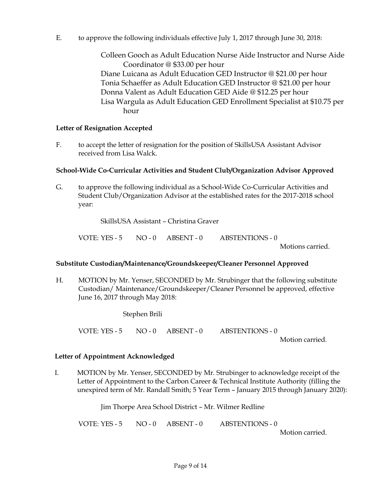E. to approve the following individuals effective July 1, 2017 through June 30, 2018:

Colleen Gooch as Adult Education Nurse Aide Instructor and Nurse Aide Coordinator @ \$33.00 per hour Diane Luicana as Adult Education GED Instructor @ \$21.00 per hour Tonia Schaeffer as Adult Education GED Instructor @ \$21.00 per hour Donna Valent as Adult Education GED Aide @ \$12.25 per hour Lisa Wargula as Adult Education GED Enrollment Specialist at \$10.75 per hour

### **Letter of Resignation Accepted**

F. to accept the letter of resignation for the position of SkillsUSA Assistant Advisor received from Lisa Walck.

### **School-Wide Co-Curricular Activities and Student Club/Organization Advisor Approved**

G. to approve the following individual as a School-Wide Co-Curricular Activities and Student Club/Organization Advisor at the established rates for the 2017-2018 school year:

SkillsUSA Assistant – Christina Graver

VOTE: YES - 5 NO - 0 ABSENT - 0 ABSTENTIONS - 0

Motions carried.

### **Substitute Custodian/Maintenance/Groundskeeper/Cleaner Personnel Approved**

H. MOTION by Mr. Yenser, SECONDED by Mr. Strubinger that the following substitute Custodian/ Maintenance/Groundskeeper/Cleaner Personnel be approved, effective June 16, 2017 through May 2018:

Stephen Brili

VOTE: YES - 5 NO - 0 ABSENT - 0 ABSTENTIONS - 0

Motion carried.

### **Letter of Appointment Acknowledged**

I. MOTION by Mr. Yenser, SECONDED by Mr. Strubinger to acknowledge receipt of the Letter of Appointment to the Carbon Career & Technical Institute Authority (filling the unexpired term of Mr. Randall Smith; 5 Year Term – January 2015 through January 2020):

Jim Thorpe Area School District – Mr. Wilmer Redline

VOTE: YES - 5 NO - 0 ABSENT - 0 ABSTENTIONS - 0 Motion carried.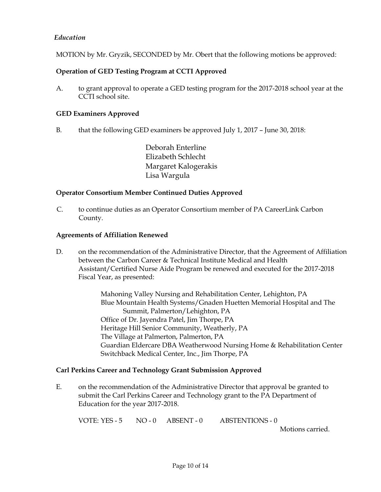# *Education*

MOTION by Mr. Gryzik, SECONDED by Mr. Obert that the following motions be approved:

# **Operation of GED Testing Program at CCTI Approved**

A. to grant approval to operate a GED testing program for the 2017-2018 school year at the CCTI school site.

#### **GED Examiners Approved**

B. that the following GED examiners be approved July 1, 2017 – June 30, 2018:

Deborah Enterline Elizabeth Schlecht Margaret Kalogerakis Lisa Wargula

#### **Operator Consortium Member Continued Duties Approved**

C. to continue duties as an Operator Consortium member of PA CareerLink Carbon County.

#### **Agreements of Affiliation Renewed**

D. on the recommendation of the Administrative Director, that the Agreement of Affiliation between the Carbon Career & Technical Institute Medical and Health Assistant/Certified Nurse Aide Program be renewed and executed for the 2017-2018 Fiscal Year, as presented:

> Mahoning Valley Nursing and Rehabilitation Center, Lehighton, PA Blue Mountain Health Systems/Gnaden Huetten Memorial Hospital and The Summit, Palmerton/Lehighton, PA Office of Dr. Jayendra Patel, Jim Thorpe, PA Heritage Hill Senior Community, Weatherly, PA The Village at Palmerton, Palmerton, PA Guardian Eldercare DBA Weatherwood Nursing Home & Rehabilitation Center Switchback Medical Center, Inc., Jim Thorpe, PA

### **Carl Perkins Career and Technology Grant Submission Approved**

E. on the recommendation of the Administrative Director that approval be granted to submit the Carl Perkins Career and Technology grant to the PA Department of Education for the year 2017-2018.

VOTE: YES - 5 NO - 0 ABSENT - 0 ABSTENTIONS - 0

Motions carried.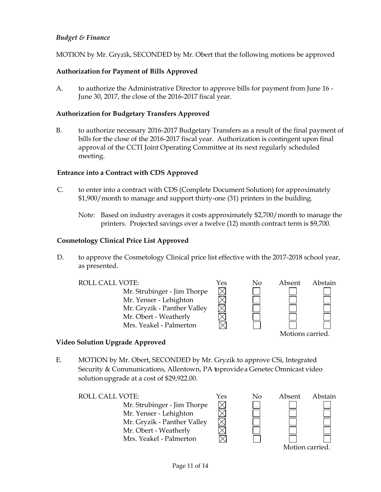# *Budget & Finance*

MOTION by Mr. Gryzik, SECONDED by Mr. Obert that the following motions be approved

# **Authorization for Payment of Bills Approved**

A. to authorize the Administrative Director to approve bills for payment from June 16 - June 30, 2017, the close of the 2016-2017 fiscal year.

#### **Authorization for Budgetary Transfers Approved**

B. to authorize necessary 2016-2017 Budgetary Transfers as a result of the final payment of bills for the close of the 2016-2017 fiscal year. Authorization is contingent upon final approval of the CCTI Joint Operating Committee at its next regularly scheduled meeting.

### **Entrance into a Contract with CDS Approved**

- C. to enter into a contract with CDS (Complete Document Solution) for approximately \$1,900/month to manage and support thirty-one (31) printers in the building.
	- Note: Based on industry averages it costs approximately \$2,700/month to manage the printers. Projected savings over a twelve (12) month contract term is \$9,700.

#### **Cosmetology Clinical Price List Approved**

D. to approve the Cosmetology Clinical price list effective with the 2017-2018 school year, as presented.



### **Video Solution Upgrade Approved**

E. MOTION by Mr. Obert, SECONDED by Mr. Gryzik to approve CSi, Integrated Security & Communications, Allentown, PA toprovidea Genetec Omnicast video solutionupgrade at a cost of \$29,922.00.

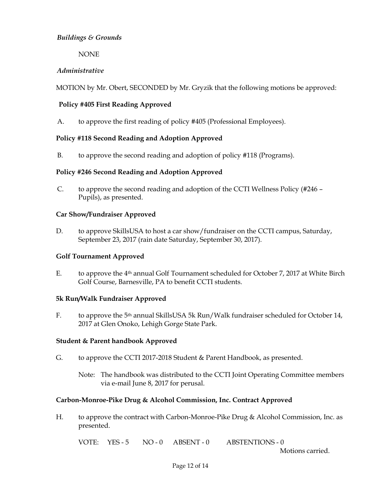# *Buildings & Grounds*

NONE

# *Administrative*

MOTION by Mr. Obert, SECONDED by Mr. Gryzik that the following motions be approved:

# **Policy #405 First Reading Approved**

A. to approve the first reading of policy #405 (Professional Employees).

# **Policy #118 Second Reading and Adoption Approved**

B. to approve the second reading and adoption of policy #118 (Programs).

### **Policy #246 Second Reading and Adoption Approved**

C. to approve the second reading and adoption of the CCTI Wellness Policy (#246 – Pupils), as presented.

### **Car Show/Fundraiser Approved**

D. to approve SkillsUSA to host a car show/fundraiser on the CCTI campus, Saturday, September 23, 2017 (rain date Saturday, September 30, 2017).

### **Golf Tournament Approved**

E. to approve the 4th annual Golf Tournament scheduled for October 7, 2017 at White Birch Golf Course, Barnesville, PA to benefit CCTI students.

### **5k Run/Walk Fundraiser Approved**

F. to approve the 5<sup>th</sup> annual SkillsUSA 5k Run/Walk fundraiser scheduled for October 14, 2017 at Glen Onoko, Lehigh Gorge State Park.

### **Student & Parent handbook Approved**

- G. to approve the CCTI 2017-2018 Student & Parent Handbook, as presented.
	- Note: The handbook was distributed to the CCTI Joint Operating Committee members via e-mail June 8, 2017 for perusal.

### **Carbon-Monroe-Pike Drug & Alcohol Commission, Inc. Contract Approved**

H. to approve the contract with Carbon-Monroe-Pike Drug & Alcohol Commission, Inc. as presented.

VOTE: YES-5 NO-0 ABSENT-0 ABSTENTIONS-0

Motions carried.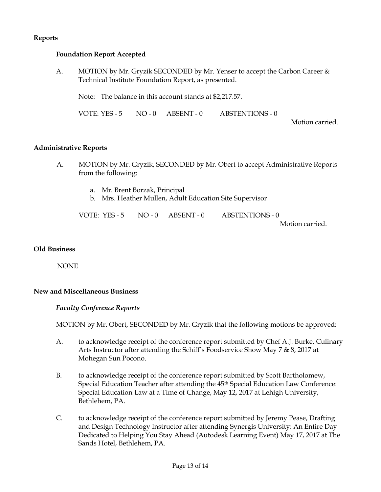# **Reports**

#### **Foundation Report Accepted**

A. MOTION by Mr. Gryzik SECONDED by Mr. Yenser to accept the Carbon Career & Technical Institute Foundation Report, as presented.

Note: The balance in this account stands at \$2,217.57.

VOTE: YES - 5 NO - 0 ABSENT - 0 ABSTENTIONS - 0

Motion carried.

#### **Administrative Reports**

- A. MOTION by Mr. Gryzik, SECONDED by Mr. Obert to accept Administrative Reports from the following:
	- a. Mr. Brent Borzak, Principal
	- b. Mrs. Heather Mullen, Adult Education Site Supervisor

VOTE: YES - 5 NO - 0 ABSENT - 0 ABSTENTIONS - 0

Motion carried.

#### **Old Business**

NONE

#### **New and Miscellaneous Business**

*Faculty Conference Reports*

MOTION by Mr. Obert, SECONDED by Mr. Gryzik that the following motions be approved:

- A. to acknowledge receipt of the conference report submitted by Chef A.J. Burke, Culinary Arts Instructor after attending the Schiff's Foodservice Show May 7 & 8, 2017 at Mohegan Sun Pocono.
- B. to acknowledge receipt of the conference report submitted by Scott Bartholomew, Special Education Teacher after attending the 45th Special Education Law Conference: Special Education Law at a Time of Change, May 12, 2017 at Lehigh University, Bethlehem, PA.
- C. to acknowledge receipt of the conference report submitted by Jeremy Pease, Drafting and Design Technology Instructor after attending Synergis University: An Entire Day Dedicated to Helping You Stay Ahead (Autodesk Learning Event) May 17, 2017 at The Sands Hotel, Bethlehem, PA.